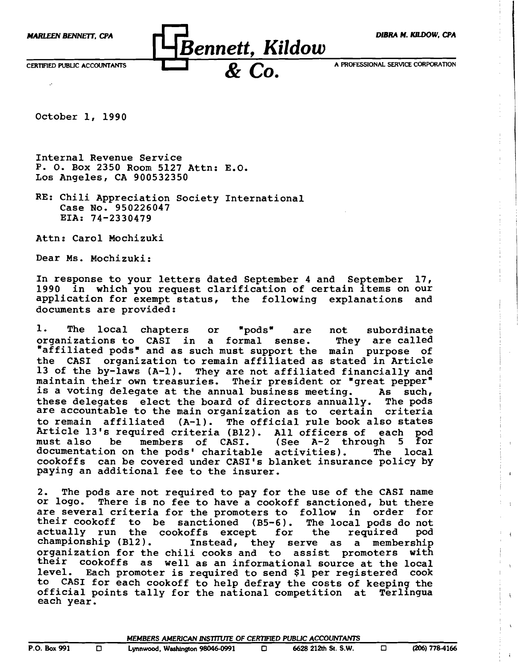

October 1, 1990

Internal Revenue Service P. O. Box 2350 Room 5127 Attn: E.O. Los Angeles, CA 900532350

RE: Chili Appreciation Society International Case No. 950226047 EIA: 74-2330479

Attn: Carol Mochizuki

Dear Ms. Mochizuki:

In response to your letters dated September 4 and September 17, 1990 in which you request clarification of certain items on our<br>application for exempt status, the following explanations and application for exempt status, the following explanations documents are provided:

1. The local chapters or "pods" are not subordinate<br>organizations to CASI in a formal sense. They are called organizations to CASI in a formal sense. "affiliated pods" and as such must support the main purpose of the CASI organization to remain affiliated as stated in Article 13 of the by-laws (A-I). They are not affiliated financially and maintain their own treasuries. Their president or "great pepper"<br>is a voting delegate at the annual business meeting. As such, is a voting delegate at the annual business meeting. As such,<br>these delegates elect the board of directors annually. The pods these delegates elect the board of directors annually. are accountable to the main organization as to certain criteria to remain affiliated (A-1). The official rule book also states<br>Article 13's required criteria (B12). All officers of each pod Article 13's required criteria (B12). All officers of each pod<br>must also be members of CASI. (See A-2 through 5 for (See  $A-2$  through 5 for activities). The local documentation on the pods' charitable activities). cookoffs can be covered under CASI's blanket insurance policy by paying an additional fee to the insurer.

2. The pods are not required to pay for the use of the CASI name or logo. There is no fee to have a cookoff sanctioned, but there are several criteria for the promoters to follow in order for<br>their cookoff to be sanctioned (B5-6). The local pods do not their cookoff to be sanctioned (B5-6). The local pods do not<br>actually run the cookoffs except for the required pod actually run the cookoffs except for<br>championship (B12). Instead, they se Instead, they serve as a membership organization for the chili cooks and to assist promoters with their cookoffs as well as an informational source at the local level. Each promoter is required to send \$1 per registered cook to CASI for each cookoff to help defray the costs of keeping the official points tally for the national competition at Ter11ngua each year.

 $\ddot{\phantom{a}}$ 

 $\overline{4}$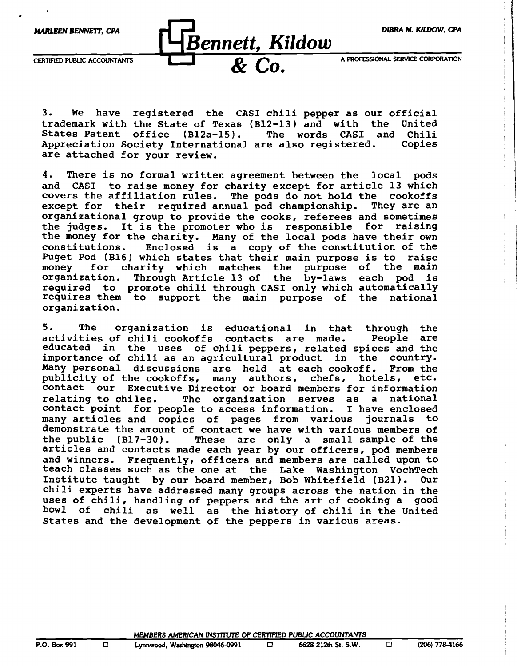

•

*Bennett, Kildow* 

CERTIFIED PUBLIC ACCOUNTANTS **A PROFESSIONAL SERVICE CORPORATION** 

3. We have registered the CASI chili pepper as our official trademark with the State of Texas (B12-l3) and with the United States Patent office (Bl2a-15). The words CASI and Chili<br>Appreciation Society International are also registered. Copies Appreciation Society International are also registered. are attached for your review.

4. There is no formal written agreement between the local pods and CASI to raise money for charity except for article 13 which covers the affiliation rules. The pods do not hold the cookoffs<br>except for their required annual pod championship. They are an except for their required annual pod championship. organizational group to provide the cooks, referees and sometimes the judges. It is the promoter who is responsible for raising the money for the charity. Many of the local pods have their own constitutions. Enclosed is a copy of the constitution of the Enclosed is a copy of the constitution of the Puget Pod (B16) which states that their main purpose is to raise money for charity which matches the purpose of the main organization. Through Article 13 of the by-laws each pod is required to promote chili through CASI only which automatically requires them to support the main purpose of the national organization.

5. The organization is educational in that through the activities of chili cookoffs contacts are made. People are activities of chili cookoffs contacts are made. educated in the uses of chili peppers, related spices and the importance of chili as an agricultural product in the country. Many personal discussions are held at each cookoff. From the publicity of the cookoffs. many authors. chefs. hotels. etc. publicity of the cookoffs, many authors, chefs, hotels, contact our Executive Director or board members for information<br>relating to chiles. The organization serves as a national The organization serves as a national contact point for people to access information. I have enclosed<br>many articles and copies of pages from various journals to many articles and copies of pages from various demonstrate the amount of contact we have with various members of the public  $(B17-30)$ . These are only a small sample of the These are only a small sample of the articles and contacts made each year by our officers, pod members and winners. Frequently, officers and members are called upon to teach classes such as the one at the Lake Washington VochTech Institute taught by our board member, Bob Whitefield (B2l). Our chili experts have addressed many groups across the nation in the uses of chili, handling of peppers and the art of cooking a good bowl of chili as well as the history of chili in the United States and the development of the peppers in various areas.